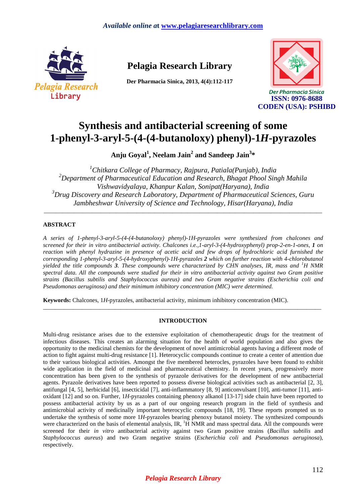

# **Pelagia Research Library**

**Der Pharmacia Sinica, 2013, 4(4):112-117** 



Der Pharmacia Sinica **ISSN: 0976-8688 CODEN (USA): PSHIBD**

# **Synthesis and antibacterial screening of some 1-phenyl-3-aryl-5-(4-(4-butanoloxy) phenyl)-1***H***-pyrazoles**

**Anju Goyal<sup>1</sup> , Neelam Jain<sup>2</sup> and Sandeep Jain<sup>3</sup> \*** 

*<sup>1</sup>Chitkara College of Pharmacy, Rajpura, Patiala(Punjab), India <sup>2</sup>Department of Pharmaceutical Education and Research, Bhagat Phool Singh Mahila Vishwavidyalaya, Khanpur Kalan, Sonipat(Haryana), India <sup>3</sup>Drug Discovery and Research Laboratory, Department of Pharmaceutical Sciences, Guru Jambheshwar University of Science and Technology, Hisar(Haryana), India* 

\_\_\_\_\_\_\_\_\_\_\_\_\_\_\_\_\_\_\_\_\_\_\_\_\_\_\_\_\_\_\_\_\_\_\_\_\_\_\_\_\_\_\_\_\_\_\_\_\_\_\_\_\_\_\_\_\_\_\_\_\_\_\_\_\_\_\_\_\_\_\_\_\_\_\_\_\_\_\_\_\_\_\_\_\_\_\_\_\_\_\_\_\_

## **ABSTRACT**

*A series of 1-phenyl-3-aryl-5-(4-(4-butanoloxy) phenyl)-1H-pyrazoles were synthesized from chalcones and screened for their in vitro antibacterial activity. Chalcones i.e.,1-aryl-3-(4-hydroxyphenyl) prop-2-en-1-ones, 1 on reaction with phenyl hydrazine in presence of acetic acid and few drops of hydrochloric acid furnished the corresponding 1-phenyl-3-aryl-5-(4-hydroxyphenyl)-1H-pyrazoles 2 which on further reaction with 4-chlorobutanol yielded the title compounds 3. These compounds were characterized by CHN analyses, IR, mass and <sup><i>1</sup>H NMR*</sup> *spectral data. All the compounds were studied for their in vitro antibacterial activity against two Gram positive strains (Bacillus subtilis and Staphylococcus aureus) and two Gram negative strains (Escherichia coli and Pseudomonas aeruginosa) and their minimum inhibitory concentration (MIC) were determined.* 

**Keywords:** Chalcones, 1*H*-pyrazoles, antibacterial activity, minimum inhibitory concentration (MIC).

### **INTRODUCTION**

\_\_\_\_\_\_\_\_\_\_\_\_\_\_\_\_\_\_\_\_\_\_\_\_\_\_\_\_\_\_\_\_\_\_\_\_\_\_\_\_\_\_\_\_\_\_\_\_\_\_\_\_\_\_\_\_\_\_\_\_\_\_\_\_\_\_\_\_\_\_\_\_\_\_\_\_\_\_\_\_\_\_\_\_\_\_\_\_\_\_\_\_\_

Multi-drug resistance arises due to the extensive exploitation of chemotherapeutic drugs for the treatment of infectious diseases. This creates an alarming situation for the health of world population and also gives the opportunity to the medicinal chemists for the development of novel antimicrobial agents having a different mode of action to fight against multi-drug resistance [1]. Heterocyclic compounds continue to create a center of attention due to their various biological activities. Amongst the five membered heterocles, pyrazoles have been found to exhibit wide application in the field of medicinal and pharmaceutical chemistry. In recent years, progressively more concentration has been given to the synthesis of pyrazole derivatives for the development of new antibacterial agents. Pyrazole derivatives have been reported to possess diverse biological activities such as antibacterial [2, 3], antifungal [4, 5], herbicidal [6], insecticidal [7], anti-inflammatory [8, 9] anticonvulsant [10], anti-tumor [11], antioxidant [12] and so on. Further, 1*H*-pyrazoles containing phenoxy alkanol [13-17] side chain have been reported to possess antibacterial activity by us as a part of our ongoing research program in the field of synthesis and antimicrobial activity of medicinally important heterocyclic compounds [18, 19]. These reports prompted us to undertake the synthesis of some more 1*H*-pyrazoles bearing phenoxy butanol moiety. The synthesized compounds were characterized on the basis of elemental analysis, IR, <sup>1</sup>H NMR and mass spectral data. All the compounds were screened for their *in vitro* antibacterial activity against two Gram positive strains (*Bacillus subtilis* and *Staphylococcus aureus*) and two Gram negative strains (*Escherichia coli* and *Pseudomonas aeruginosa*), respectively.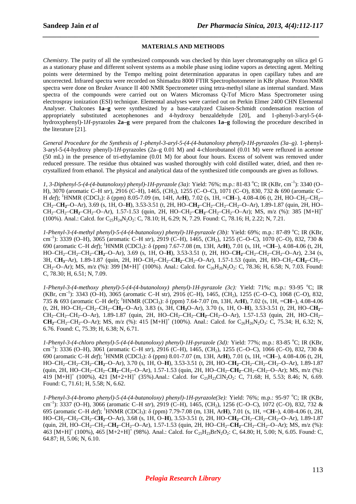#### **MATERIALS AND METHODS**

*\_\_\_\_\_\_\_\_\_\_\_\_\_\_\_\_\_\_\_\_\_\_\_\_\_\_\_\_\_\_\_\_\_\_\_\_\_\_\_\_\_\_\_\_\_\_\_\_\_\_\_\_\_\_\_\_\_\_\_\_\_\_\_\_\_\_\_\_\_\_\_\_\_\_\_\_\_*

*Chemistry.* The purity of all the synthesized compounds was checked by thin layer chromatography on silica gel G as a stationary phase and different solvent systems as a mobile phase using iodine vapors as detecting agent. Melting points were determined by the Tempo melting point determination apparatus in open capillary tubes and are uncorrected. Infrared spectra were recorded on Shimadzu 8000 FTIR Spectrophotometer in KBr phase. Proton NMR spectra were done on Bruker Avance II 400 NMR Spectrometer using tetra-methyl silane as internal standard. Mass spectra of the compounds were carried out on Waters Micromass Q-Tof Micro Mass Spectrometer using electrospray ionization (ESI) technique. Elemental analyses were carried out on Perkin Elmer 2400 CHN Elemental Analyser. Chalcones **1a–g** were synthesized by a base-catalyzed Claisen-Schmidt condensation reaction of appropriately substituted acetophenones and 4-hydroxy benzaldehyde [20], and 1-phenyl-3-aryl-5-(4 hydroxyphenyl)-1*H*-pyrazoles **2a–g** were prepared from the chalcones **1a–g** following the procedure described in the literature [21].

*General Procedure for the Synthesis of 1-phenyl-3-aryl-5-(4-(4-butanoloxy phenyl)-1H-pyrazoles (3a–g).* 1-phenyl-3-aryl-5-(4-hydroxy phenyl)-1*H*-pyrazoles (2a–g 0.01 M) and 4-chlorobutanol (0.01 M) were refluxed in acetone (50 mL) in the presence of tri-ethylamine (0.01 M) for about four hours. Excess of solvent was removed under reduced pressure. The residue thus obtained was washed thoroughly with cold distilled water, dried, and then recrystallized from ethanol. The physical and analytical data of the synthesized title compounds are given as follows.

*1, 3-Diphenyl-5-(4-(4-butanoloxy) phenyl)-1H-pyrazole (3a):* Yield: 76%; m.p.: 81-83 °C; IR (KBr, cm<sup>-1</sup>): 3340 (O– H), 3070 (aromatic C–H *str*), 2916 (C–H), 1465, (CH2), 1255 (C–O–C), 1071 (C–O), 830, 732 & 690 (aromatic C– H *def*); <sup>1</sup>HNMR (CDCl3): δ (ppm) 8.05-7.09 (m, 14H, Ar**H**), 7.02 (s, 1H, =C**H**–), 4.08-4.06 (t, 2H, HO–CH2–CH2– CH2–C**H2**–O–Ar), 3.69 (s, 1H, O–**H**), 3.53-3.51 (t, 2H, HO–C**H2**–CH2–CH2–CH2–O–Ar), 1.89-1.87 (quin, 2H, HO– CH2–CH2–C**H2**–CH2–O–Ar), 1.57-1.53 (quin, 2H, HO–CH2–**CH2**–CH2–CH2–O–Ar); MS, m/z (%): 385 [M+H]<sup>+</sup> (100%). Anal.: Calcd. for C<sub>25</sub>H<sub>24</sub>N<sub>2</sub>O<sub>2</sub>: C, 78.10; H, 6.29; N, 7.29. Found: C, 78.16; H, 2.22; N, 7.21.

*1-Phenyl-3-(4-methyl phenyl)-5-(4-(4-butanoloxy) phenyl)-1H-pyrazole (3b): Yield: 69%; m.p.: 87-89 °C; IR (KBr,* cm–1): 3339 (O–H), 3065 (aromatic C–H *str*), 2919 (C–H), 1465, (CH2), 1255 (C–O–C), 1070 (C–O), 832, 730 & 690 (aromatic C–H *def*); <sup>1</sup>HNMR (CDCl3): δ (ppm) 7.67-7.08 (m, 13H, Ar**H**), 7.01 (s, 1H, =C**H**–), 4.08-4.06 (t, 2H, HO–CH2–CH2–CH2–C**H2**–O–Ar), 3.69 (s, 1H, O–**H**), 3.53-3.51 (t, 2H, HO–C**H2**–CH2–CH2–CH2–O–Ar), 2.34 (s, 3H, C**H3**–Ar), 1.89-1.87 (quin, 2H, HO–CH2–CH2–C**H2**–CH2–O–Ar), 1.57-1.53 (quin, 2H, HO–CH2–**CH2**–CH2–  $CH_2-O-Ar$ ); MS, m/z (%): 399 [M+H]<sup>+</sup> (100%). Anal.: Calcd. for C<sub>26</sub>H<sub>26</sub>N<sub>2</sub>O<sub>2</sub>: C, 78.36; H, 6.58; N, 7.03. Found: C, 78.30; H, 6.51; N, 7.09.

*1-Phenyl-3-(4-methoxy phenyl)-5-(4-(4-butanoloxy) phenyl)-1H-pyrazole (3c):* Yield: 71%; m.p.: 93-95 °C; IR (KBr, cm–1): 3343 (O–H), 3065 (aromatic C–H str), 2916 (C–H), 1465, (CH2), 1255 (C–O–C), 1068 (C–O), 832, 735 & 693 (aromatic C–H def); <sup>1</sup>HNMR (CDCl3): δ (ppm) 7.64-7.07 (m, 13H, Ar**H**), 7.02 (s, 1H, =C**H**–), 4.08-4.06 (t, 2H, HO–CH2–CH2–CH2–C**H2**–O–Ar), 3.83 (s, 3H, C**H3**O–Ar), 3.70 (s, 1H, O–**H**), 3.53-3.51 (t, 2H, HO–C**H2**– CH2–CH2–CH2–O–Ar), 1.89-1.87 (quin, 2H, HO–CH2–CH2–C**H2**–CH2–O–Ar), 1.57-1.53 (quin, 2H, HO–CH2– **CH**<sub>2</sub>–CH<sub>2</sub>–CH<sub>2</sub>–O–Ar); MS, m/z (%): 415 [M+H]<sup>+</sup> (100%). Anal.: Calcd. for C<sub>26</sub>H<sub>26</sub>N<sub>2</sub>O<sub>3</sub>: C, 75.34; H, 6.32; N, 6.76. Found: C, 75.39; H, 6.38; N, 6.71.

*1-Phenyl-3-(4-chloro phenyl)-5-(4-(4-butanoloxy) phenyl)-1H-pyrazole (3d):* Yield: 77%; m.p.: 83-85 °C; IR (KBr, cm–1): 3336 (O–H), 3061 (aromatic C–H *str*), 2916 (C–H), 1465, (CH2), 1255 (C–O–C), 1066 (C–O), 832, 730 & 690 (aromatic C–H *def*); <sup>1</sup>HNMR (CDCl3): δ (ppm) 8.01-7.07 (m, 13H, Ar**H**), 7.01 (s, 1H, =C**H**–), 4.08-4.06 (t, 2H, HO–CH2–CH2–CH2–C**H2**–O–Ar), 3.70 (s, 1H, O–**H**), 3.53-3.51 (t, 2H, HO–C**H2**–CH2–CH2–CH2–O–Ar), 1.89-1.87 (quin, 2H, HO–CH<sub>2</sub>–CH<sub>2</sub>–CH<sub>2</sub>–CH<sub>2</sub>–O–Ar), 1.57-1.53 (quin, 2H, HO–CH<sub>2</sub>–CH<sub>2</sub>–CH<sub>2</sub>–CH<sub>2</sub>–O–Ar); MS, m/z (%): 419  $[M+H]^+$  (100%), 421  $[M+2+H]^+$  (35%).Anal.: Calcd. for C<sub>25</sub>H<sub>23</sub>ClN<sub>2</sub>O<sub>2</sub>: C, 71.68; H, 5.53; 8.46; N, 6.69. Found: C, 71.61; H, 5.58; N, 6.62.

*1-Phenyl-3-(4-bromo phenyl)-5-(4-(4-butanoloxy) phenyl)-1H-pyrazole(3e):* Yield: 76%; m.p.: 95-97 °C; IR (KBr, cm–1): 3337 (O–H), 3066 (aromatic C–H *str*), 2919 (C–H), 1465, (CH2), 1256 (C–O–C), 1072 (C–O), 832, 732 & 695 (aromatic C–H *def*); <sup>1</sup>HNMR (CDCl3): δ (ppm) 7.79-7.08 (m, 13H, Ar**H**), 7.01 (s, 1H, =C**H**–), 4.08-4.06 (t, 2H, HO–CH2–CH2–CH2–C**H2**–O–Ar), 3.68 (s, 1H, O–**H**), 3.53-3.51 (t, 2H, HO–C**H2**–CH2–CH2–CH2–O–Ar), 1.89-1.87 (quin, 2H, HO–CH2–CH2–C**H2**–CH2–O–Ar), 1.57-1.53 (quin, 2H, HO–CH2–**CH2**–CH2–CH2–O–Ar); MS, m/z (%): 463  $[M+H]^+$  (100%), 465  $[M+2+H]^+$  (98%). Anal.: Calcd. for C<sub>25</sub>H<sub>23</sub>BrN<sub>2</sub>O<sub>2</sub>: C, 64.80; H, 5.00; N, 6.05. Found: C, 64.87; H, 5.06; N, 6.10.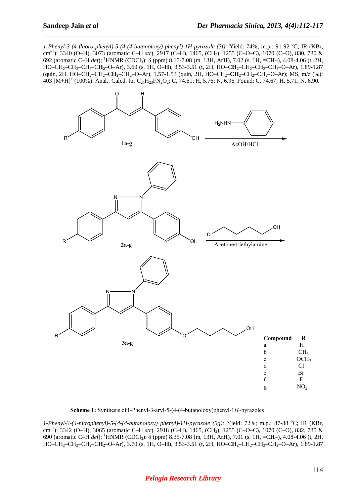*1-Phenyl-3-(4-fluoro phenyl)-5-(4-(4-butanoloxy) phenyl)-1H-pyrazole (3f):* Yield: 74%; m.p.: 91-92 °C; IR (KBr, cm<sup>-1</sup>): 3340 (O–H), 3073 (aromatic C–H *str*), 2917 (C–H), 1465, (CH<sub>2</sub>), 1255 (C–O–C), 1070 (C–O), 830, 730 & 692 (aromatic C–H *def*); <sup>1</sup>HNMR (CDCl3): δ (ppm) 8.15-7.08 (m, 13H, Ar**H**), 7.02 (s, 1H, =C**H**–), 4.08-4.06 (t, 2H, HO–CH2–CH2–CH2–C**H2**–O–Ar), 3.69 (s, 1H, O–**H**), 3.53-3.51 (t, 2H, HO–C**H2**–CH2–CH2–CH2–O–Ar), 1.89-1.87 (quin, 2H, HO–CH<sub>2</sub>–CH<sub>2</sub>–CH<sub>2</sub>–CH<sub>2</sub>–O–Ar), 1.57-1.53 (quin, 2H, HO–CH<sub>2</sub>–CH<sub>2</sub>–CH<sub>2</sub>–CH<sub>2</sub>–O–Ar); MS, m/z (%): 403  $[M+H]^+$  (100%). Anal.: Calcd. for C<sub>25</sub>H<sub>23</sub>FN<sub>2</sub>O<sub>2</sub>: C, 74.61; H, 5.76; N, 6.96. Found: C, 74.67; H, 5.71; N, 6.90.

*\_\_\_\_\_\_\_\_\_\_\_\_\_\_\_\_\_\_\_\_\_\_\_\_\_\_\_\_\_\_\_\_\_\_\_\_\_\_\_\_\_\_\_\_\_\_\_\_\_\_\_\_\_\_\_\_\_\_\_\_\_\_\_\_\_\_\_\_\_\_\_\_\_\_\_\_\_*



**Scheme 1:** Synthesis of1-Phenyl-3-aryl-5-(4-(4-butanoloxy)phenyl-1*H*-pyrazoles

*1-Phenyl-3-(4-nitrophenyl)-5-(4-(4-butanoloxy) phenyl)-1H-pyrazole (3g):* Yield: 72%; m.p.: 87-88 °C; IR (KBr, cm–1): 3342 (O–H), 3065 (aromatic C–H *str*), 2918 (C–H), 1465, (CH2), 1255 (C–O–C), 1070 (C–O), 832, 735 & 690 (aromatic C–H *def*); <sup>1</sup>HNMR (CDCl3): δ (ppm) 8.35-7.08 (m, 13H, Ar**H**), 7.01 (s, 1H, =C**H**–), 4.08-4.06 (t, 2H, HO–CH2–CH2–CH2–C**H2**–O–Ar), 3.70 (s, 1H, O–**H**), 3.53-3.51 (t, 2H, HO–C**H2**–CH2–CH2–CH2–O–Ar), 1.89-1.87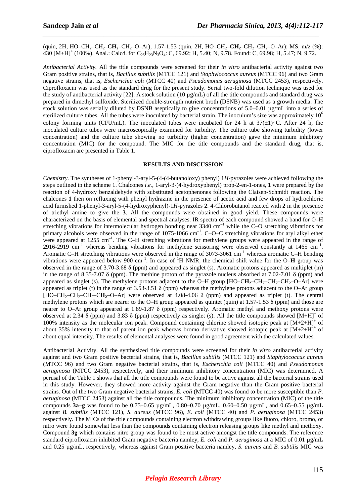(quin, 2H, HO–CH<sub>2</sub>–CH<sub>2</sub>–CH<sub>2</sub>–CH<sub>2</sub>–O–Ar), 1.57-1.53 (quin, 2H, HO–CH<sub>2</sub>–CH<sub>2</sub>–CH<sub>2</sub>–CH<sub>2</sub>–O–Ar); MS, m/z (%): 430  $[M+H]^+$  (100%). Anal.: Calcd. for C<sub>25</sub>H<sub>23</sub>N<sub>3</sub>O<sub>4</sub>: C, 69.92; H, 5.40; N, 9.78. Found: C, 69.98; H, 5.47; N, 9.72.

*\_\_\_\_\_\_\_\_\_\_\_\_\_\_\_\_\_\_\_\_\_\_\_\_\_\_\_\_\_\_\_\_\_\_\_\_\_\_\_\_\_\_\_\_\_\_\_\_\_\_\_\_\_\_\_\_\_\_\_\_\_\_\_\_\_\_\_\_\_\_\_\_\_\_\_\_\_*

*Antibacterial Activity.* All the title compounds were screened for their *in vitro* antibacterial activity against two Gram positive strains, that is, *Bacillus subtilis* (MTCC 121) and *Staphylococcus aureus* (MTCC 96) and two Gram negative strains, that is, *Escherichia coli* (MTCC 40) and *Pseudomonas aeruginosa* (MTCC 2453), respectively. Ciprofloxacin was used as the standard drug for the present study. Serial two-fold dilution technique was used for the study of antibacterial activity [22]. A stock solution (10  $\mu$ g/mL) of all the title compounds and standard drug was prepared in dimethyl sulfoxide. Sterilized double-strength nutrient broth (DSNB) was used as a growth media. The stock solution was serially diluted by DSNB aseptically to give concentrations of 5.0–0.01 µg/mL into a series of sterilized culture tubes. All the tubes were inoculated by bacterial strain. The inoculum's size was approximately  $10<sup>6</sup>$ colony forming units (CFU/mL). The inoculated tubes were incubated for 24 h at 37(±1)∘C. After 24 h, the inoculated culture tubes were macroscopically examined for turbidity. The culture tube showing turbidity (lower concentration) and the culture tube showing no turbidity (higher concentration) gave the minimum inhibitory concentration (MIC) for the compound. The MIC for the title compounds and the standard drug, that is, ciprofloxacin are presented in Table 1.

#### **RESULTS AND DISCUSSION**

*Chemistry.* The syntheses of 1-phenyl-3-aryl-5-(4-(4-butanoloxy) phenyl) 1*H*-pyrazoles were achieved following the steps outlined in the scheme 1. Chalcones *i.e.*, 1-aryl-3-(4-hydroxyphenyl) prop-2-en-1-ones, **1** were prepared by the reaction of 4-hydroxy benzaldehyde with substituted acetophenones following the Claisen-Schmidt reaction. The chalcones **1** then on refluxing with phenyl hydrazine in the presence of acetic acid and few drops of hydrochloric acid furnished 1-phenyl-3-aryl-5-(4-hydroxyphenyl)-1*H*-pyrazoles **2**. 4-Chlorobutanol reacted with **2** in the presence of triethyl amine to give the **3**. All the compounds were obtained in good yield. These compounds were characterized on the basis of elemental and spectral analyses. IR spectra of each compound showed a band for O–H stretching vibrations for intermolecular hydrogen bonding near  $3340 \text{ cm}^{-1}$  while the C–O stretching vibrations for primary alcohols were observed in the range of 1075-1066  $cm^{-1}$ . C–O–C stretching vibrations for aryl alkyl ether were appeared at 1255 cm<sup>-1</sup>. The C–H stretching vibrations for methylene groups were appeared in the range of 2916-2919 cm<sup>-1</sup> whereas bending vibrations for methylene scissoring were observed constantly at 1465 cm<sup>-1</sup>. Aromatic C–H stretching vibrations were observed in the range of 3073-3061 cm<sup>-1</sup> whereas aromatic C–H bending vibrations were appeared below 900  $cm^{-1}$ . In case of <sup>1</sup>H NMR, the chemical shift value for the O–**H** group was observed in the range of 3.70-3.68 δ (ppm) and appeared as singlet (s). Aromatic protons appeared as multiplet (m) in the range of 8.35-7.07  $\delta$  (ppm). The methine proton of the pyrazole nucleus absorbed at 7.02-7.01  $\delta$  (ppm) and appeared as singlet (s). The methylene protons adjacent to the  $O-H$  group  $[HO-CH<sub>2</sub>-CH<sub>2</sub>-CH<sub>2</sub>-CH<sub>2</sub>-CH<sub>2</sub>-O-Ar]$  were appeared as triplet (t) in the range of 3.53-3.51 δ (ppm) whereas the methylene protons adjacent to the O–Ar group [HO–CH<sub>2</sub>–CH<sub>2</sub>–CH<sub>2</sub>–CH<sub>2</sub>–O–Ar] were observed at 4.08-4.06  $\delta$  (ppm) and appeared as triplet (t). The central methylene protons which are nearer to the O–H group appeared as quintet (quin) at  $1.57$ - $1.53$   $\delta$  (ppm) and those are nearer to O–Ar group appeared at 1.89-1.87 δ (ppm) respectively. Aromatic methyl and methoxy protons were observed at 2.34  $\delta$  (ppm) and 3.83  $\delta$  (ppm) respectively as singlet (s). All the title compounds showed [M+H]<sup>+</sup> of 100% intensity as the molecular ion peak. Compound containing chlorine showed isotopic peak at [M+2+H]<sup>+</sup> of about 35% intensity to that of parent ion peak whereas bromo derivative showed isotopic peak at  $[M+2+H]^+$  of about equal intensity. The results of elemental analyses were found in good agreement with the calculated values.

Antibacterial Activity. All the synthesized title compounds were screened for their *in vitro* antibacterial activity against and two Gram positive bacterial strains, that is, *Bacillus subtilis* (MTCC 121) and *Staphylococcus aureus* (MTCC 96) and two Gram negative bacterial strains, that is, *Escherichia coli* (MTCC 40) and *Pseudomonas aeruginosa* (MTCC 2453), respectively, and their minimum inhibitory concentration (MIC) was determined. A perusal of the Table 1 shows that all the title compounds were found to be active against all the bacterial strains used in this study. However, they showed more activity against the Gram negative than the Gram positive bacterial strains. Out of the two Gram negative bacterial strains, *E. coli* (MTCC 40) was found to be more susceptible than *P. aeruginosa* (MTCC 2453) against all the title compounds. The minimum inhibitory concentration (MIC) of the title compounds **3a–g** was found to be 0.75–0.65 µg/mL, 0.80–0.70 µg/mL, 0.60–0.50 µg/mL, and 0.65–0.55 µg/mL against *B. subtilis* (MTCC 121), *S. aureus* (MTCC 96), *E. coli* (MTCC 40) and *P. aeruginosa* (MTCC 2453) respectively. The MICs of the title compounds containing electron withdrawing groups like fluoro, chloro, bromo, or nitro were found somewhat less than the compounds containing electron releasing groups like methyl and methoxy. Compound **3g** which contains nitro group was found to be most active amongst the title compounds. The reference standard ciprofloxacin inhibited Gram negative bacteria namley, *E. coli* and *P. aeruginosa* at a MIC of 0.01 µg/mL and 0.25 µg/mL, respectively, whereas against Gram positive bacteria namley, *S. aureus* and *B. subtilis* MIC was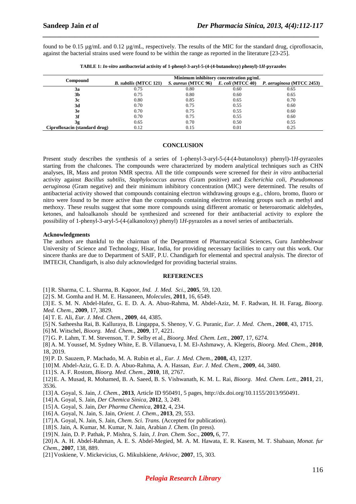found to be 0.15 µg/mL and 0.12 µg/mL, respectively. The results of the MIC for the standard drug, ciprofloxacin, against the bacterial strains used were found to be within the range as reported in the literature [23-25].

*\_\_\_\_\_\_\_\_\_\_\_\_\_\_\_\_\_\_\_\_\_\_\_\_\_\_\_\_\_\_\_\_\_\_\_\_\_\_\_\_\_\_\_\_\_\_\_\_\_\_\_\_\_\_\_\_\_\_\_\_\_\_\_\_\_\_\_\_\_\_\_\_\_\_\_\_\_*

| Compound                      | Minimum inhibitory concentration ug/mL |                                       |      |                           |
|-------------------------------|----------------------------------------|---------------------------------------|------|---------------------------|
|                               | <b>B.</b> subtilis (MTCC 121)          | S. aureus (MTCC 96) E. coli (MTCC 40) |      | P. aeruginosa (MTCC 2453) |
| 3a                            | 0.75                                   | 0.80                                  | 0.60 | 0.65                      |
| 3b                            | 0.75                                   | 0.80                                  | 0.60 | 0.65                      |
| 3c                            | 0.80                                   | 0.85                                  | 0.65 | 0.70                      |
| 3d                            | 0.70                                   | 0.75                                  | 0.55 | 0.60                      |
| 3e                            | 0.70                                   | 0.75                                  | 0.55 | 0.60                      |
| 3f                            | 0.70                                   | 0.75                                  | 0.55 | 0.60                      |
| 3g                            | 0.65                                   | 0.70                                  | 0.50 | 0.55                      |
| Ciprofloxacin (standard drug) | 0.12                                   | 0.15                                  | 0.01 | 0.25                      |

**TABLE 1:** *In-vitro* **antibacterial activity of 1-phenyl-3-aryl-5-(4-(4-butanoloxy) phenyl)-1***H***-pyrazoles** 

#### **CONCLUSION**

Present study describes the synthesis of a series of 1-phenyl-3-aryl-5-(4-(4-butanoloxy) phenyl)-1*H*-pyrazoles starting from the chalcones. The compounds were characterized by modern analytical techniques such as CHN analyses, IR, Mass and proton NMR spectra. All the title compounds were screened for their *in vitro* antibacterial activity against *Bacillus subtilis*, *Staphylococcus aureus* (Gram positive) and *Escherichia coli*, *Pseudomonas aeruginosa* (Gram negative) and their minimum inhibitory concentration (MIC) were determined. The results of antibacterial activity showed that compounds containing electron withdrawing groups e.g., chloro, bromo, fluoro or nitro were found to be more active than the compounds containing electron releasing groups such as methyl and methoxy. These results suggest that some more compounds using different aromatic or heteroaromatic aldehydes, ketones, and haloalkanols should be synthesized and screened for their antibacterial activity to explore the possibility of 1-phenyl-3-aryl-5-(4-(alkanoloxy) phenyl) 1*H*-pyrazoles as a novel series of antibacterials.

#### **Acknowledgments**

The authors are thankful to the chairman of the Department of Pharmaceutical Sciences, Guru Jambheshwar University of Science and Technology, Hisar, India, for providing necessary facilities to carry out this work. Our sincere thanks are due to Department of SAIF, P.U. Chandigarh for elemental and spectral analysis. The director of IMTECH, Chandigarh, is also duly acknowledged for providing bacterial strains.

#### **REFERENCES**

[1] R. Sharma, C. L. Sharma, B. Kapoor, *Ind. J. Med. Sci.*, **2005**, 59, 120.

[2] S. M. Gomha and H. M. E. Hassaneen, *Molecules*, **2011**, 16, 6549.

[3] E. S. M. N. Abdel-Hafez, G. E. D. A. A. Abuo-Rahma, M. Abdel-Aziz, M. F. Radwan, H. H. Farag, *Bioorg. Med. Chem.*, **2009**, 17, 3829.

- [4] T. E. Ali, *Eur. J. Med. Chem.*, **2009**, 44, 4385.
- [5] N. Satheesha Rai, B. Kalluraya, B. Lingappa, S. Shenoy, V. G. Puranic, *Eur. J. Med. Chem.*, **2008**, 43, 1715.
- [6] M. Witschel, *Bioorg. Med. Chem.*, **2009**, 17, 4221.

[7] G. P. Lahm, T. M. Stevenson, T. P. Selby et al., *Bioorg. Med. Chem. Lett.*, **2007**, 17, 6274.

[8] A. M. Youssef, M. Sydney White, E. B. Villanueva, I. M. El-Ashmawy, A. Klegeris, *Bioorg. Med. Chem.*, **2010**, 18, 2019.

- [9] P. D. Sauzem, P. Machado, M. A. Rubin et al., *Eur. J. Med. Chem.*, **2008,** 43, 1237.
- [10]M. Abdel-Aziz, G. E. D. A. Abuo-Rahma, A. A. Hassan, *Eur. J. Med. Chem.*, **2009**, 44, 3480.
- [11]S. A. F. Rostom, *Bioorg. Med. Chem.*, **2010**, 18, 2767.

[12]E. A. Musad, R. Mohamed, B. A. Saeed, B. S. Vishwanath, K. M. L. Rai, *Bioorg. Med. Chem. Lett.*, **2011**, 21, 3536.

- [13]A. Goyal, S. Jain, *J. Chem.*, **2013**, Article ID 950491, 5 pages, http://dx.doi.org/10.1155/2013/950491.
- [14]A. Goyal, S. Jain, *Der Chemica Sinica,* **2012**, 3, 249.
- [15]A. Goyal, S. Jain, *Der Pharma Chemica*, **2012**, 4, 234.
- [16]A. Goyal, N. Jain, S. Jain, *Orient. J. Chem.*, **2013**, 29, 553.
- [17]A. Goyal, N. Jain, S. Jain, *Chem. Sci. Trans.* (Accepted for publication).
- [18]S. Jain, A. Kumar, M. Kumar, N. Jain, Arabian *J. Chem.* (In press).
- [19]N. Jain, D. P. Pathak, P. Mishra, S. Jain, *J. Iran. Chem. Soc.*, **2009,** 6, 77.

[20]A. A. H. Abdel-Rahman, A. E. S. Abdel-Megied, M. A. M. Hawata, E. R. Kasem, M. T. Shabaan, *Monat. fur Chem.,* **2007**, 138, 889.

[21]Voskiene, V. Mickevicius, G. Mikulskiene, *Arkivoc*, **2007**, 15, 303.